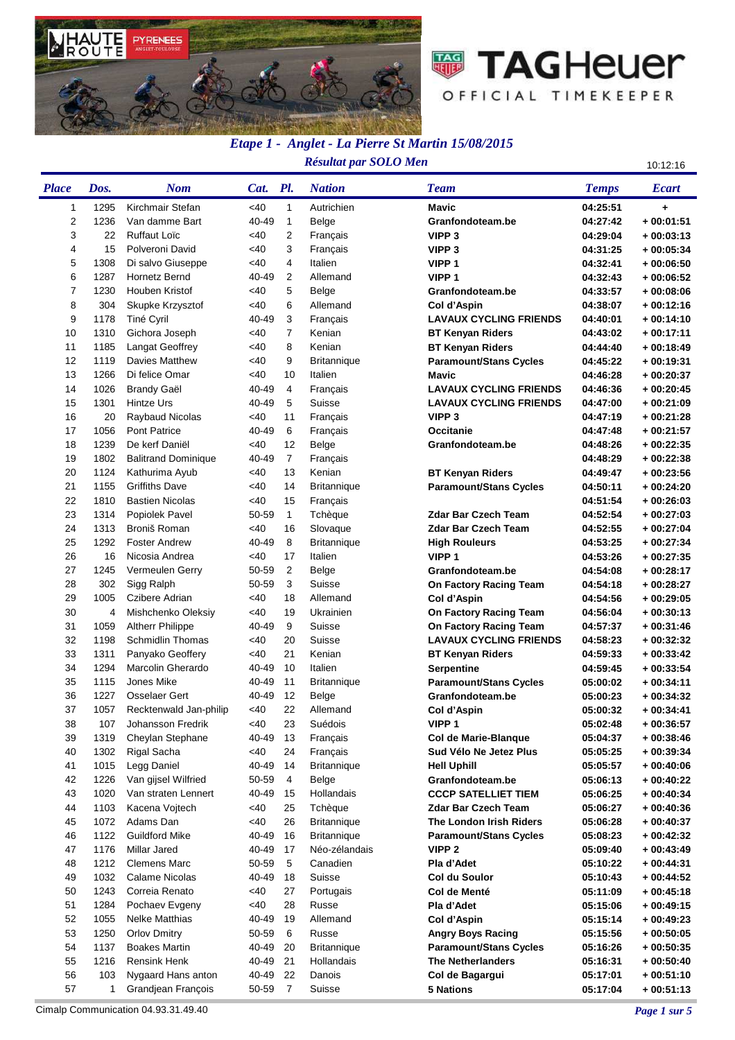



## *Etape 1 - Anglet - La Pierre St Martin 15/08/2015 Résultat par SOLO Men* 10:12:16

| <b>Place</b>   | Dos. | <b>Nom</b>                 | Cat. Pl. |                | <b>Nation</b>      | <b>Team</b>                   | <b>Temps</b>         | <b>Ecart</b> |
|----------------|------|----------------------------|----------|----------------|--------------------|-------------------------------|----------------------|--------------|
| 1              | 1295 | Kirchmair Stefan           | $<$ 40   | 1              | Autrichien         | <b>Mavic</b>                  | 04:25:51             | $\ddot{}$    |
| $\overline{2}$ | 1236 | Van damme Bart             | 40-49    | 1              | Belge              | Granfondoteam.be              | 04:27:42             | $+00:01:51$  |
| 3              | 22   | <b>Ruffaut Loïc</b>        | <40      | 2              | Français           | VIPP <sub>3</sub>             | 04:29:04             | $+00:03:13$  |
| 4              | 15   | Polveroni David            | <40      | 3              | Français           | VIPP <sub>3</sub>             | 04:31:25             | $+00:05:34$  |
| 5              | 1308 | Di salvo Giuseppe          | <40      | 4              | Italien            | VIPP <sub>1</sub>             | 04:32:41             | + 00:06:50   |
| 6              | 1287 | <b>Hornetz Bernd</b>       | 40-49    | $\overline{2}$ | Allemand           | VIPP <sub>1</sub>             | 04:32:43             | $+00:06:52$  |
| $\overline{7}$ | 1230 | Houben Kristof             | <40      | 5              | Belge              | Granfondoteam.be              | 04:33:57             | $+00:08:06$  |
| 8              | 304  | Skupke Krzysztof           | <40      | 6              | Allemand           | Col d'Aspin                   | 04:38:07             | + 00:12:16   |
| 9              | 1178 | Tiné Cyril                 | 40-49    | 3              | Français           | <b>LAVAUX CYCLING FRIENDS</b> | 04:40:01             | + 00:14:10   |
| 10             | 1310 | Gichora Joseph             | <40      | $\overline{7}$ | Kenian             | <b>BT Kenyan Riders</b>       | 04:43:02             | + 00:17:11   |
| 11             | 1185 | Langat Geoffrey            | <40      | 8              | Kenian             | <b>BT Kenyan Riders</b>       | 04:44:40             | $+00:18:49$  |
| 12             | 1119 | <b>Davies Matthew</b>      | <40      | 9              | <b>Britannique</b> | <b>Paramount/Stans Cycles</b> | 04:45:22             | $+00:19:31$  |
| 13             | 1266 | Di felice Omar             | <40      | 10             | Italien            | Mavic                         | 04:46:28             | + 00:20:37   |
| 14             | 1026 | <b>Brandy Gaël</b>         | 40-49    | 4              | Français           | <b>LAVAUX CYCLING FRIENDS</b> | 04:46:36             | + 00:20:45   |
| 15             | 1301 | Hintze Urs                 | 40-49    | 5              | Suisse             | <b>LAVAUX CYCLING FRIENDS</b> | 04:47:00             | $+00:21:09$  |
| 16             | 20   | Raybaud Nicolas            | <40      | 11             | Français           | VIPP <sub>3</sub>             | 04:47:19             | $+00:21:28$  |
| 17             | 1056 | <b>Pont Patrice</b>        | 40-49    | 6              | Français           | <b>Occitanie</b>              | 04:47:48             | $+00:21:57$  |
| 18             | 1239 | De kerf Daniël             | <40      | 12             | Belge              | Granfondoteam.be              | 04:48:26             | $+00:22:35$  |
| 19             | 1802 | <b>Balitrand Dominique</b> | 40-49    | $\overline{7}$ | Français           |                               | 04:48:29             | $+00:22:38$  |
| 20             | 1124 | Kathurima Ayub             | <40      | 13             | Kenian             | <b>BT Kenyan Riders</b>       | 04:49:47             | $+00:23:56$  |
| 21             | 1155 | <b>Griffiths Dave</b>      | <40      | 14             | <b>Britannique</b> | <b>Paramount/Stans Cycles</b> | 04:50:11             | + 00:24:20   |
| 22             | 1810 | <b>Bastien Nicolas</b>     | <40      | 15             | Français           |                               | 04:51:54             | + 00:26:03   |
| 23             | 1314 | Popiolek Pavel             | 50-59    | $\mathbf{1}$   | Tchèque            | <b>Zdar Bar Czech Team</b>    | 04:52:54             | $+00:27:03$  |
| 24             | 1313 | Broniš Roman               | <40      | 16             | Slovaque           | <b>Zdar Bar Czech Team</b>    | 04:52:55             | $+00:27:04$  |
| 25             | 1292 | <b>Foster Andrew</b>       | 40-49    | 8              | <b>Britannique</b> | <b>High Rouleurs</b>          | 04:53:25             | $+00:27:34$  |
| 26             | 16   | Nicosia Andrea             | <40      | 17             | Italien            | VIPP <sub>1</sub>             | 04:53:26             | + 00:27:35   |
| 27             | 1245 | Vermeulen Gerry            | 50-59    | $\overline{2}$ | Belge              | Granfondoteam.be              | 04:54:08             | + 00:28:17   |
| 28             | 302  | Sigg Ralph                 | 50-59    | 3              | Suisse             | On Factory Racing Team        | 04:54:18             | + 00:28:27   |
| 29             | 1005 | Czibere Adrian             | <40      | 18             | Allemand           | Col d'Aspin                   | 04:54:56             | + 00:29:05   |
| 30             | 4    | Mishchenko Oleksiy         | <40      | 19             | Ukrainien          | On Factory Racing Team        | 04:56:04             | + 00:30:13   |
| 31             | 1059 | <b>Altherr Philippe</b>    | 40-49    | 9              | Suisse             | On Factory Racing Team        | 04:57:37             | + 00:31:46   |
| 32             | 1198 | <b>Schmidlin Thomas</b>    | <40      | 20             | Suisse             | <b>LAVAUX CYCLING FRIENDS</b> | 04:58:23             | $+00:32:32$  |
| 33             | 1311 | Panyako Geoffery           | <40      | 21             | Kenian             | <b>BT Kenyan Riders</b>       | 04:59:33             | $+00:33:42$  |
| 34             | 1294 | Marcolin Gherardo          | 40-49    | 10             | Italien            | <b>Serpentine</b>             | 04:59:45             | $+00:33:54$  |
| 35             | 1115 | Jones Mike                 | 40-49    | 11             | <b>Britannique</b> | <b>Paramount/Stans Cycles</b> | 05:00:02             | + 00:34:11   |
| 36             | 1227 | <b>Osselaer Gert</b>       | 40-49    | 12             | Belge              | Granfondoteam.be              | 05:00:23             | + 00:34:32   |
| 37             | 1057 | Recktenwald Jan-philip     | <40      | 22             | Allemand           | Col d'Aspin                   | 05:00:32             | $+00:34:41$  |
| 38             | 107  | Johansson Fredrik          | <40      | 23             | Suédois            | VIPP <sub>1</sub>             | 05:02:48             | + 00:36:57   |
| 39             | 1319 | Cheylan Stephane           | 40-49    | 13             | Français           | Col de Marie-Blanque          | 05:04:37             | + 00:38:46   |
| 40             | 1302 | Rigal Sacha                | <40      | 24             | Français           | Sud Vélo Ne Jetez Plus        | 05:05:25             | $+00:39:34$  |
| 41             | 1015 | Legg Daniel                | 40-49    | 14             | <b>Britannique</b> | <b>Hell Uphill</b>            | 05:05:57             | + 00:40:06   |
| 42             | 1226 | Van gijsel Wilfried        | 50-59    | $\overline{4}$ | Belge              | Granfondoteam.be              | 05:06:13             | + 00:40:22   |
| 43             | 1020 | Van straten Lennert        | 40-49    | 15             | Hollandais         | <b>CCCP SATELLIET TIEM</b>    | 05:06:25             | + 00:40:34   |
| 44             | 1103 | Kacena Vojtech             | <40      | 25             | Tchèque            | <b>Zdar Bar Czech Team</b>    | 05:06:27             | + 00:40:36   |
| 45             | 1072 | Adams Dan                  | <40      | 26             | <b>Britannique</b> | The London Irish Riders       | 05:06:28             | $+00:40:37$  |
| 46             | 1122 | <b>Guildford Mike</b>      | 40-49    | 16             | <b>Britannique</b> | <b>Paramount/Stans Cycles</b> | 05:08:23             | $+00:42:32$  |
| 47             | 1176 | <b>Millar Jared</b>        | 40-49    | 17             | Néo-zélandais      | VIPP <sub>2</sub>             | 05:09:40             | $+00:43:49$  |
| 48             | 1212 | <b>Clemens Marc</b>        | 50-59    | 5              | Canadien           | Pla d'Adet                    | 05:10:22             | + 00:44:31   |
| 49             | 1032 | Calame Nicolas             | 40-49    | 18             | Suisse             | Col du Soulor                 | 05:10:43             | + 00:44:52   |
| 50             | 1243 | Correia Renato             | <40      | 27             | Portugais          | Col de Menté                  | 05:11:09             | + 00:45:18   |
| 51             | 1284 | Pochaev Evgeny             | <40      | 28             | Russe              | Pla d'Adet                    | 05:15:06             | + 00:49:15   |
| 52             | 1055 | <b>Nelke Matthias</b>      | 40-49    | 19             | Allemand           | Col d'Aspin                   | 05:15:14             | + 00:49:23   |
| 53             | 1250 | <b>Orlov Dmitry</b>        | 50-59    | 6              | Russe              | <b>Angry Boys Racing</b>      | 05:15:56             | $+00:50:05$  |
| 54             | 1137 | <b>Boakes Martin</b>       | 40-49    | 20             | <b>Britannique</b> | <b>Paramount/Stans Cycles</b> |                      |              |
| 55             | 1216 | <b>Rensink Henk</b>        | 40-49    | 21             | Hollandais         | <b>The Netherlanders</b>      | 05:16:26<br>05:16:31 | + 00:50:35   |
| 56             | 103  | Nygaard Hans anton         | 40-49    | 22             | Danois             |                               |                      | + 00:50:40   |
|                |      |                            |          | $\overline{7}$ |                    | Col de Bagargui               | 05:17:01             | + 00:51:10   |
| 57             | 1    | Grandjean François         | 50-59    |                | Suisse             | <b>5 Nations</b>              | 05:17:04             | $+00:51:13$  |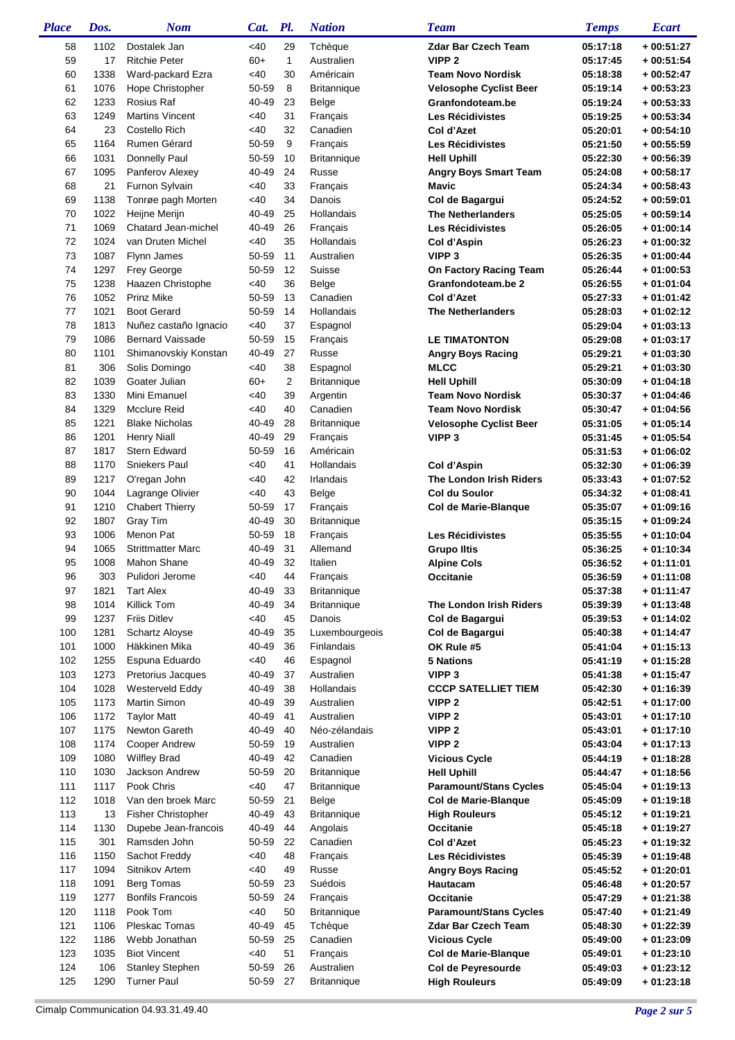| <b>Place</b> | Dos. | <b>Nom</b>                            | Cat.           | Pl.          | <b>Nation</b>                            | <b>Team</b>                            | <b>Temps</b>         | <b>Ecart</b>               |
|--------------|------|---------------------------------------|----------------|--------------|------------------------------------------|----------------------------------------|----------------------|----------------------------|
| 58           | 1102 | Dostalek Jan                          | <40            | 29           | Tchèque                                  | <b>Zdar Bar Czech Team</b>             | 05:17:18             | $+00:51:27$                |
| 59           | 17   | <b>Ritchie Peter</b>                  | $60+$          | $\mathbf{1}$ | Australien                               | VIPP <sub>2</sub>                      | 05:17:45             | $+00:51:54$                |
| 60           | 1338 | Ward-packard Ezra                     | <40            | 30           | Américain                                | <b>Team Novo Nordisk</b>               | 05:18:38             | $+00:52:47$                |
| 61           | 1076 | Hope Christopher                      | 50-59          | 8            | <b>Britannique</b>                       | <b>Velosophe Cyclist Beer</b>          | 05:19:14             | $+00:53:23$                |
| 62           | 1233 | Rosius Raf                            | 40-49          | 23           | Belge                                    | Granfondoteam.be                       | 05:19:24             | $+00:53:33$                |
| 63           | 1249 | <b>Martins Vincent</b>                | <40            | 31           | Français                                 | <b>Les Récidivistes</b>                | 05:19:25             | $+00:53:34$                |
| 64           | 23   | Costello Rich                         | <40            | 32           | Canadien                                 | Col d'Azet                             | 05:20:01             | $+00:54:10$                |
| 65           | 1164 | Rumen Gérard                          | 50-59          | 9            | Français                                 | <b>Les Récidivistes</b>                | 05:21:50             | $+00:55:59$                |
| 66           | 1031 | Donnelly Paul                         | 50-59          | 10           | <b>Britannique</b>                       | <b>Hell Uphill</b>                     | 05:22:30             | $+00:56:39$                |
| 67           | 1095 | Panferov Alexey                       | 40-49          | 24           | Russe                                    | <b>Angry Boys Smart Team</b>           | 05:24:08             | $+00:58:17$                |
| 68           | 21   | Furnon Sylvain                        | <40            | 33           | Français                                 | Mavic                                  | 05:24:34             | $+00:58:43$                |
| 69           | 1138 | Tonrøe pagh Morten                    | $<$ 40         | 34           | Danois                                   | Col de Bagargui                        | 05:24:52             | $+00:59:01$                |
| 70           | 1022 | Heijne Merijn                         | 40-49          | 25           | Hollandais                               | <b>The Netherlanders</b>               | 05:25:05             | $+00:59:14$                |
| 71           | 1069 | Chatard Jean-michel                   | 40-49          | 26           | Français                                 | <b>Les Récidivistes</b>                | 05:26:05             | $+01:00:14$                |
| 72           | 1024 | van Druten Michel                     | $<$ 40         | 35           | Hollandais                               | Col d'Aspin                            | 05:26:23             | $+01:00:32$                |
| 73           | 1087 | Flynn James                           | 50-59          | 11           | Australien                               | VIPP <sub>3</sub>                      | 05:26:35             | $+01:00:44$                |
| 74           | 1297 | Frey George                           | 50-59          | 12           | Suisse                                   | On Factory Racing Team                 | 05:26:44             | $+01:00:53$                |
| 75           | 1238 | Haazen Christophe                     | $<$ 40         | 36           | Belge                                    | Granfondoteam.be 2                     | 05:26:55             | $+01:01:04$                |
| 76           | 1052 | <b>Prinz Mike</b>                     | 50-59          | 13           | Canadien                                 | Col d'Azet                             | 05:27:33             | $+01:01:42$                |
| 77           | 1021 | <b>Boot Gerard</b>                    | 50-59          | 14           | Hollandais                               | <b>The Netherlanders</b>               | 05:28:03             | $+01:02:12$                |
| 78           | 1813 | Nuñez castaño Ignacio                 | <40            | 37           | Espagnol                                 |                                        | 05:29:04             | $+01:03:13$                |
| 79           | 1086 | <b>Bernard Vaissade</b>               | 50-59          | 15           | Français                                 | <b>LE TIMATONTON</b>                   | 05:29:08             | $+01:03:17$                |
| 80           | 1101 | Shimanovskiy Konstan                  | 40-49          | 27           | <b>Russe</b>                             | <b>Angry Boys Racing</b>               | 05:29:21             | $+01:03:30$                |
| 81           | 306  | Solis Domingo                         | <40            | 38           | Espagnol                                 | <b>MLCC</b>                            | 05:29:21             | $+01:03:30$                |
| 82           | 1039 | Goater Julian                         | $60+$          | 2            | <b>Britannique</b>                       | <b>Hell Uphill</b>                     | 05:30:09             | $+01:04:18$                |
| 83           | 1330 | Mini Emanuel                          | <40            | 39           | Argentin                                 | <b>Team Novo Nordisk</b>               | 05:30:37             | $+01:04:46$                |
| 84           | 1329 | <b>Mcclure Reid</b>                   | <40            | 40           | Canadien                                 | <b>Team Novo Nordisk</b>               | 05:30:47             | $+01:04:56$                |
| 85           | 1221 | <b>Blake Nicholas</b>                 | 40-49          | 28           | <b>Britannique</b>                       | <b>Velosophe Cyclist Beer</b>          | 05:31:05             | $+01:05:14$                |
| 86           | 1201 | <b>Henry Niall</b>                    | 40-49          | 29           | Français                                 | VIPP <sub>3</sub>                      | 05:31:45             | $+01:05:54$                |
| 87           | 1817 | <b>Stern Edward</b>                   | 50-59          | 16           | Américain                                |                                        |                      | $+01:06:02$                |
| 88           | 1170 | Sniekers Paul                         | <40            | 41           | Hollandais                               | Col d'Aspin                            | 05:31:53<br>05:32:30 | $+01:06:39$                |
| 89           | 1217 | O'regan John                          | <40            | 42           | Irlandais                                | The London Irish Riders                | 05:33:43             | $+01:07:52$                |
| 90           | 1044 | Lagrange Olivier                      | <40            | 43           | Belge                                    | Col du Soulor                          | 05:34:32             | $+01:08:41$                |
| 91           | 1210 | <b>Chabert Thierry</b>                |                | 17           |                                          |                                        |                      | $+01:09:16$                |
| 92           | 1807 | Gray Tim                              | 50-59<br>40-49 | 30           | Français                                 | Col de Marie-Blanque                   | 05:35:07             | $+01:09:24$                |
| 93           | 1006 | Menon Pat                             | 50-59          | 18           | <b>Britannique</b>                       |                                        | 05:35:15             |                            |
| 94           | 1065 | <b>Strittmatter Marc</b>              | 40-49          | 31           | Français<br>Allemand                     | Les Récidivistes                       | 05:35:55             | $+01:10:04$                |
| 95           | 1008 | <b>Mahon Shane</b>                    | 40-49          | 32           | Italien                                  | <b>Grupo Iltis</b>                     | 05:36:25             | $+01:10:34$                |
| 96           | 303  | Pulidori Jerome                       | <40            | 44           | Français                                 | <b>Alpine Cols</b><br>Occitanie        | 05:36:52             | $+01:11:01$<br>$+01:11:08$ |
|              |      |                                       |                |              |                                          |                                        | 05:36:59<br>05:37:38 | $+01:11:47$                |
| 97           | 1821 | <b>Tart Alex</b><br>Killick Tom       | 40-49<br>40-49 | 33<br>34     | <b>Britannique</b><br><b>Britannique</b> |                                        |                      |                            |
| 98           | 1014 |                                       |                |              |                                          | The London Irish Riders                | 05:39:39             | $+01:13:48$                |
| 99           | 1237 | <b>Friis Ditlev</b><br>Schartz Aloyse | <40            | 45<br>35     | Danois                                   | Col de Bagargui                        | 05:39:53             | $+01:14:02$                |
| 100          | 1281 | Häkkinen Mika                         | 40-49          |              | Luxembourgeois<br>Finlandais             | Col de Bagargui                        | 05:40:38             | $+01:14:47$                |
| 101          | 1000 |                                       | 40-49          | 36           |                                          | OK Rule #5                             | 05:41:04             | $+01:15:13$                |
| 102          | 1255 | Espuna Eduardo                        | <40            | 46           | Espagnol                                 | <b>5 Nations</b>                       | 05:41:19             | $+01:15:28$                |
| 103          | 1273 | Pretorius Jacques<br>Westerveld Eddy  | 40-49          | 37<br>38     | Australien                               | VIPP <sub>3</sub>                      | 05:41:38             | $+01:15:47$                |
| 104          | 1028 | <b>Martin Simon</b>                   | 40-49          | 39           | Hollandais                               | <b>CCCP SATELLIET TIEM</b>             | 05:42:30             | $+01:16:39$                |
| 105          | 1173 |                                       | 40-49          | 41           | Australien                               | VIPP <sub>2</sub><br>VIPP <sub>2</sub> | 05:42:51             | $+01:17:00$                |
| 106          | 1172 | <b>Taylor Matt</b><br>Newton Gareth   | 40-49          |              | Australien<br>Néo-zélandais              | VIPP <sub>2</sub>                      | 05:43:01             | $+01:17:10$<br>$+01:17:10$ |
| 107          | 1175 |                                       | 40-49          | 40<br>19     |                                          |                                        | 05:43:01             |                            |
| 108          | 1174 | <b>Cooper Andrew</b>                  | 50-59          |              | Australien                               | VIPP <sub>2</sub>                      | 05:43:04             | $+01:17:13$                |
| 109          | 1080 | <b>Wilfley Brad</b>                   | 40-49          | 42           | Canadien                                 | <b>Vicious Cycle</b>                   | 05:44:19             | $+01:18:28$                |
| 110          | 1030 | Jackson Andrew                        | 50-59          | 20           | <b>Britannique</b>                       | <b>Hell Uphill</b>                     | 05:44:47             | $+01:18:56$                |
| 111          | 1117 | Pook Chris                            | <40            | 47           | <b>Britannique</b>                       | <b>Paramount/Stans Cycles</b>          | 05:45:04             | $+01:19:13$                |
| 112          | 1018 | Van den broek Marc                    | 50-59          | 21           | Belge                                    | Col de Marie-Blanque                   | 05:45:09             | $+01:19:18$                |
| 113          | 13   | <b>Fisher Christopher</b>             | 40-49          | 43           | <b>Britannique</b>                       | <b>High Rouleurs</b>                   | 05:45:12             | $+01:19:21$                |
| 114          | 1130 | Dupebe Jean-francois                  | 40-49          | 44           | Angolais                                 | Occitanie                              | 05:45:18             | $+01:19:27$                |
| 115          | 301  | Ramsden John                          | 50-59          | 22           | Canadien                                 | Col d'Azet                             | 05:45:23             | $+01:19:32$                |
| 116          | 1150 | Sachot Freddy                         | <40            | 48           | Français                                 | Les Récidivistes                       | 05:45:39             | $+01:19:48$                |
| 117          | 1094 | Sitnikov Artem                        | $<$ 40         | 49           | Russe                                    | <b>Angry Boys Racing</b>               | 05:45:52             | $+01:20:01$                |
| 118          | 1091 | <b>Berg Tomas</b>                     | 50-59          | 23           | Suédois                                  | Hautacam                               | 05:46:48             | $+01:20:57$                |
| 119          | 1277 | <b>Bonfils Francois</b>               | 50-59          | 24           | Français                                 | Occitanie                              | 05:47:29             | $+01:21:38$                |
| 120          | 1118 | Pook Tom                              | <40            | 50           | <b>Britannique</b>                       | <b>Paramount/Stans Cycles</b>          | 05:47:40             | $+01:21:49$                |
| 121          | 1106 | Pleskac Tomas                         | 40-49          | 45           | Tchèque                                  | <b>Zdar Bar Czech Team</b>             | 05:48:30             | $+01:22:39$                |
| 122          | 1186 | Webb Jonathan                         | 50-59          | 25           | Canadien                                 | <b>Vicious Cycle</b>                   | 05:49:00             | $+01:23:09$                |
| 123          | 1035 | <b>Biot Vincent</b>                   | <40            | 51           | Français                                 | Col de Marie-Blanque                   | 05:49:01             | $+01:23:10$                |
| 124          | 106  | <b>Stanley Stephen</b>                | 50-59          | 26           | Australien                               | Col de Peyresourde                     | 05:49:03             | $+01:23:12$                |
| 125          | 1290 | <b>Turner Paul</b>                    | 50-59 27       |              | <b>Britannique</b>                       | <b>High Rouleurs</b>                   | 05:49:09             | $+01:23:18$                |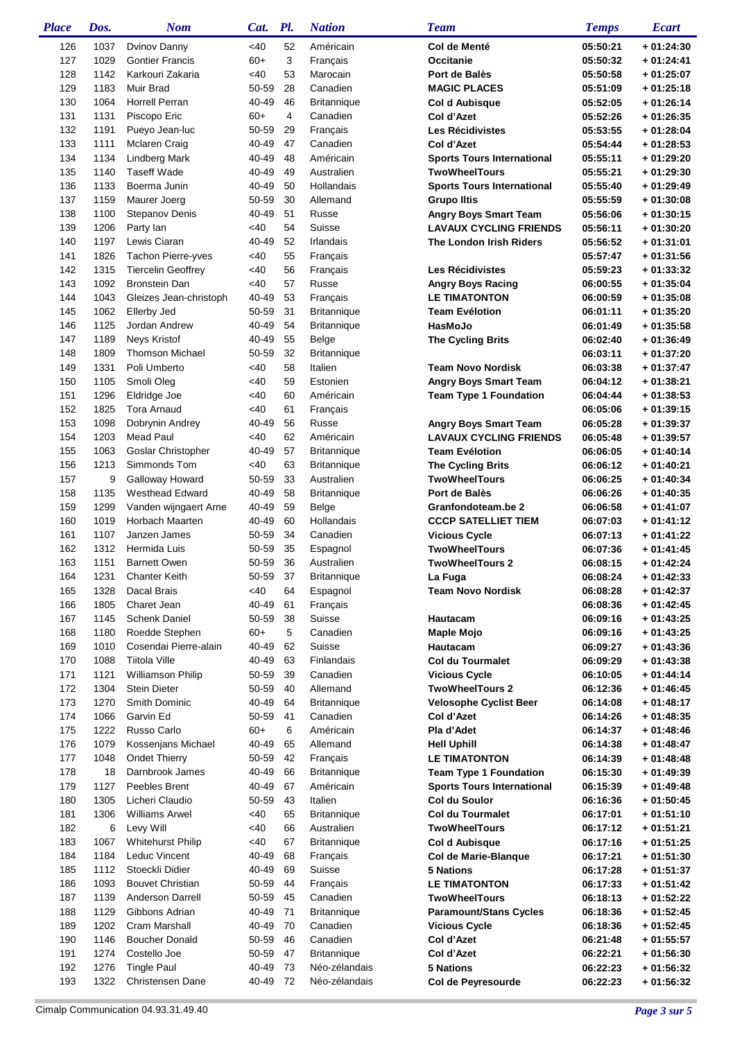| <b>Place</b> | Dos.         | <b>Nom</b>                                        | Cat.           | Pl.                     | <b>Nation</b>                  | <b>Team</b>                                   | <b>Temps</b>         | <b>Ecart</b>               |
|--------------|--------------|---------------------------------------------------|----------------|-------------------------|--------------------------------|-----------------------------------------------|----------------------|----------------------------|
| 126          | 1037         | Dvinov Danny                                      | $<$ 40         | 52                      | Américain                      | Col de Menté                                  | 05:50:21             | $+01:24:30$                |
| 127          | 1029         | <b>Gontier Francis</b>                            | $60+$          | 3                       | Français                       | Occitanie                                     | 05:50:32             | $+01:24:41$                |
| 128          | 1142         | Karkouri Zakaria                                  | <40            | 53                      | Marocain                       | Port de Balès                                 | 05:50:58             | $+01:25:07$                |
| 129          | 1183         | Muir Brad                                         | 50-59          | 28                      | Canadien                       | <b>MAGIC PLACES</b>                           | 05:51:09             | $+01:25:18$                |
| 130          | 1064         | <b>Horrell Perran</b>                             | 40-49          | 46                      | <b>Britannique</b>             | <b>Col d Aubisque</b>                         | 05:52:05             | $+01:26:14$                |
| 131          | 1131         | Piscopo Eric                                      | $60+$          | $\overline{\mathbf{4}}$ | Canadien                       | Col d'Azet                                    | 05:52:26             | $+01:26:35$                |
| 132          | 1191         | Pueyo Jean-luc                                    | 50-59          | 29                      | Français                       | <b>Les Récidivistes</b>                       | 05:53:55             | $+01:28:04$                |
| 133          | 1111         | <b>Mclaren Craig</b>                              | 40-49          | 47                      | Canadien                       | Col d'Azet                                    | 05:54:44             | $+01:28:53$                |
| 134          | 1134         | Lindberg Mark                                     | 40-49          | 48                      | Américain                      | <b>Sports Tours International</b>             | 05:55:11             | $+01:29:20$                |
| 135          | 1140         | <b>Taseff Wade</b>                                | 40-49          | 49                      | Australien                     | <b>TwoWheelTours</b>                          | 05:55:21             | $+01:29:30$                |
| 136          | 1133         | Boerma Junin                                      | 40-49          | 50                      | Hollandais                     | <b>Sports Tours International</b>             | 05:55:40             | $+01:29:49$                |
| 137          | 1159         | Maurer Joerg                                      | 50-59          | 30                      | Allemand                       | <b>Grupo Iltis</b>                            | 05:55:59             | $+01:30:08$                |
| 138          | 1100         | <b>Stepanov Denis</b>                             | 40-49          | 51                      | Russe                          | <b>Angry Boys Smart Team</b>                  | 05:56:06             | $+01:30:15$                |
| 139          | 1206         | Party lan                                         | <40            | 54                      | Suisse                         | <b>LAVAUX CYCLING FRIENDS</b>                 | 05:56:11             | $+01:30:20$                |
| 140          | 1197         | Lewis Ciaran                                      | 40-49          | 52                      | Irlandais                      | The London Irish Riders                       | 05:56:52             | $+01:31:01$                |
| 141          | 1826         | Tachon Pierre-yves                                | <40            | 55                      | Français                       |                                               | 05:57:47             | $+01:31:56$                |
| 142          | 1315<br>1092 | <b>Tiercelin Geoffrey</b><br><b>Bronstein Dan</b> | <40            | 56                      | Français                       | <b>Les Récidivistes</b>                       | 05:59:23             | $+01:33:32$<br>$+01:35:04$ |
| 143<br>144   | 1043         | Gleizes Jean-christoph                            | <40<br>40-49   | 57<br>53                | Russe                          | <b>Angry Boys Racing</b>                      | 06:00:55             | $+01:35:08$                |
| 145          | 1062         | Ellerby Jed                                       | 50-59          | 31                      | Français<br><b>Britannique</b> | <b>LE TIMATONTON</b><br><b>Team Evélotion</b> | 06:00:59<br>06:01:11 | $+01:35:20$                |
| 146          | 1125         | Jordan Andrew                                     | 40-49          | 54                      | <b>Britannique</b>             | HasMoJo                                       | 06:01:49             | $+01:35:58$                |
| 147          | 1189         | Neys Kristof                                      | 40-49          | 55                      | Belge                          | <b>The Cycling Brits</b>                      | 06:02:40             | $+01:36:49$                |
| 148          | 1809         | <b>Thomson Michael</b>                            | 50-59          | 32                      | <b>Britannique</b>             |                                               | 06:03:11             | $+01:37:20$                |
| 149          | 1331         | Poli Umberto                                      | <40            | 58                      | Italien                        | <b>Team Novo Nordisk</b>                      | 06:03:38             | $+01:37:47$                |
| 150          | 1105         | Smoli Oleg                                        | <40            | 59                      | Estonien                       | <b>Angry Boys Smart Team</b>                  | 06:04:12             | $+01:38:21$                |
| 151          | 1296         | Eldridge Joe                                      | <40            | 60                      | Américain                      | <b>Team Type 1 Foundation</b>                 | 06:04:44             | $+01:38:53$                |
| 152          | 1825         | Tora Arnaud                                       | $<$ 40         | 61                      | Français                       |                                               | 06:05:06             | $+01:39:15$                |
| 153          | 1098         | Dobrynin Andrey                                   | 40-49          | 56                      | Russe                          | <b>Angry Boys Smart Team</b>                  | 06:05:28             | $+01:39:37$                |
| 154          | 1203         | <b>Mead Paul</b>                                  | $<$ 40         | 62                      | Américain                      | <b>LAVAUX CYCLING FRIENDS</b>                 | 06:05:48             | $+01:39:57$                |
| 155          | 1063         | Goslar Christopher                                | 40-49          | 57                      | Britannique                    | <b>Team Evélotion</b>                         | 06:06:05             | $+01:40:14$                |
| 156          | 1213         | Simmonds Tom                                      | $<$ 40         | 63                      | <b>Britannique</b>             | <b>The Cycling Brits</b>                      | 06:06:12             | $+01:40:21$                |
| 157          | 9            | Galloway Howard                                   | 50-59          | 33                      | Australien                     | <b>TwoWheelTours</b>                          | 06:06:25             | $+01:40:34$                |
| 158          | 1135         | <b>Westhead Edward</b>                            | 40-49          | 58                      | Britannique                    | Port de Balès                                 | 06:06:26             | $+01:40:35$                |
| 159          | 1299         | Vanden wijngaert Arne                             | 40-49          | 59                      | Belge                          | Granfondoteam.be 2                            | 06:06:58             | $+01:41:07$                |
| 160          | 1019         | Horbach Maarten                                   | 40-49          | 60                      | Hollandais                     | <b>CCCP SATELLIET TIEM</b>                    | 06:07:03             | $+01:41:12$                |
| 161          | 1107         | Janzen James                                      | 50-59          | 34                      | Canadien                       | <b>Vicious Cycle</b>                          | 06:07:13             | $+01:41:22$                |
| 162          | 1312         | Hermida Luis                                      | 50-59          | 35                      | Espagnol                       | <b>TwoWheelTours</b>                          | 06:07:36             | $+01:41:45$                |
| 163          | 1151         | <b>Barnett Owen</b>                               | 50-59          | 36                      | Australien                     | <b>TwoWheelTours 2</b>                        | 06:08:15             | $+01:42:24$                |
| 164          | 1231         | <b>Chanter Keith</b>                              | 50-59          | 37                      | Britannique                    | La Fuga                                       | 06:08:24             | + 01:42:33                 |
| 165          | 1328         | Dacal Brais                                       | <40            | 64                      | Espagnol                       | <b>Team Novo Nordisk</b>                      | 06:08:28             | $+01:42:37$                |
| 166          | 1805         | Charet Jean                                       | 40-49          | 61                      | Français                       |                                               | 06:08:36             | $+01:42:45$                |
| 167          | 1145         | <b>Schenk Daniel</b>                              | 50-59          | 38                      | Suisse                         | Hautacam                                      | 06:09:16             | $+01:43:25$                |
| 168          | 1180         | Roedde Stephen                                    | $60+$          | 5                       | Canadien                       | Maple Mojo                                    | 06:09:16             | $+01:43:25$                |
| 169          | 1010         | Cosendai Pierre-alain                             | 40-49          | 62                      | Suisse                         | Hautacam                                      | 06:09:27             | $+01:43:36$                |
| 170          | 1088         | <b>Tiitola Ville</b>                              | 40-49          | 63                      | Finlandais                     | <b>Col du Tourmalet</b>                       | 06:09:29             | $+01:43:38$                |
| 171          | 1121         | <b>Williamson Philip</b>                          | 50-59          | 39                      | Canadien                       | <b>Vicious Cycle</b>                          | 06:10:05             | $+01:44:14$                |
| 172          | 1304         | <b>Stein Dieter</b>                               | 50-59          | 40                      | Allemand                       | <b>TwoWheelTours 2</b>                        | 06:12:36             | $+01:46:45$                |
| 173<br>174   | 1270<br>1066 | Smith Dominic<br>Garvin Ed                        | 40-49<br>50-59 | 64<br>41                | <b>Britannique</b><br>Canadien | <b>Velosophe Cyclist Beer</b><br>Col d'Azet   | 06:14:08<br>06:14:26 | $+01:48:17$<br>$+01:48:35$ |
| 175          | 1222         | Russo Carlo                                       | $60+$          | 6                       | Américain                      | Pla d'Adet                                    | 06:14:37             | $+01:48:46$                |
| 176          | 1079         | Kossenjans Michael                                | 40-49          | 65                      | Allemand                       |                                               | 06:14:38             | $+01:48:47$                |
| 177          | 1048         | <b>Ondet Thierry</b>                              | 50-59          | 42                      | Français                       | <b>Hell Uphill</b><br><b>LE TIMATONTON</b>    | 06:14:39             | $+01:48:48$                |
| 178          | 18           | Darnbrook James                                   | 40-49          | 66                      | <b>Britannique</b>             | <b>Team Type 1 Foundation</b>                 | 06:15:30             | $+01:49:39$                |
| 179          | 1127         | Peebles Brent                                     | 40-49          | 67                      | Américain                      | <b>Sports Tours International</b>             | 06:15:39             | $+01:49:48$                |
| 180          | 1305         | Licheri Claudio                                   | 50-59          | 43                      | Italien                        | Col du Soulor                                 | 06:16:36             | $+01:50:45$                |
| 181          | 1306         | <b>Williams Arwel</b>                             | <40            | 65                      | <b>Britannique</b>             | <b>Col du Tourmalet</b>                       | 06:17:01             | $+01:51:10$                |
| 182          | 6            | Levy Will                                         | <40            | 66                      | Australien                     | <b>TwoWheelTours</b>                          | 06:17:12             | $+01:51:21$                |
| 183          | 1067         | <b>Whitehurst Philip</b>                          | $<$ 40         | 67                      | <b>Britannique</b>             | <b>Col d Aubisque</b>                         | 06:17:16             | $+01:51:25$                |
| 184          | 1184         | Leduc Vincent                                     | 40-49          | 68                      | Français                       | Col de Marie-Blanque                          | 06:17:21             | $+01:51:30$                |
| 185          | 1112         | Stoeckli Didier                                   | 40-49          | 69                      | Suisse                         | <b>5 Nations</b>                              | 06:17:28             | $+01:51:37$                |
| 186          | 1093         | <b>Bouvet Christian</b>                           | 50-59          | 44                      | Français                       | <b>LE TIMATONTON</b>                          | 06:17:33             | $+01:51:42$                |
| 187          | 1139         | <b>Anderson Darrell</b>                           | 50-59          | 45                      | Canadien                       | <b>TwoWheelTours</b>                          | 06:18:13             | $+01:52:22$                |
| 188          | 1129         | Gibbons Adrian                                    | 40-49          | 71                      | <b>Britannique</b>             | <b>Paramount/Stans Cycles</b>                 | 06:18:36             | $+01:52:45$                |
| 189          | 1202         | Cram Marshall                                     | 40-49          | 70                      | Canadien                       | <b>Vicious Cycle</b>                          | 06:18:36             | $+01:52:45$                |
| 190          | 1146         | <b>Boucher Donald</b>                             | 50-59          | 46                      | Canadien                       | Col d'Azet                                    | 06:21:48             | $+01:55:57$                |
| 191          | 1274         | Costello Joe                                      | 50-59          | 47                      | <b>Britannique</b>             | Col d'Azet                                    | 06:22:21             | $+01:56:30$                |
| 192          | 1276         | <b>Tingle Paul</b>                                | 40-49          | - 73                    | Néo-zélandais                  | <b>5 Nations</b>                              | 06:22:23             | $+01:56:32$                |
| 193          | 1322         | Christensen Dane                                  | 40-49 72       |                         | Néo-zélandais                  | Col de Peyresourde                            | 06:22:23             | $+01:56:32$                |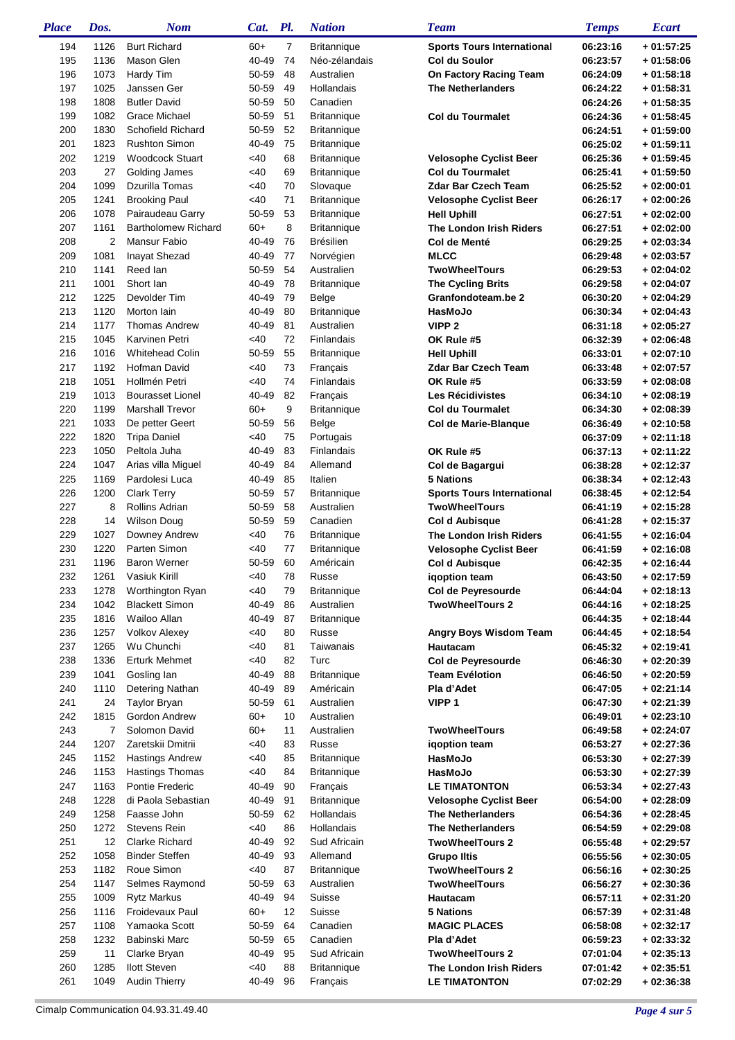| <b>Place</b> | Dos.         | <b>Nom</b>                           | Cat.           | Pl.            | <b>Nation</b>                    | <b>Team</b>                                               | <b>Temps</b>         | <b>Ecart</b>               |
|--------------|--------------|--------------------------------------|----------------|----------------|----------------------------------|-----------------------------------------------------------|----------------------|----------------------------|
| 194          | 1126         | <b>Burt Richard</b>                  | $60+$          | $\overline{7}$ | <b>Britannique</b>               | <b>Sports Tours International</b>                         | 06:23:16             | $+01:57:25$                |
| 195          | 1136         | Mason Glen                           | 40-49          | 74             | Néo-zélandais                    | <b>Col du Soulor</b>                                      | 06:23:57             | $+01:58:06$                |
| 196          | 1073         | Hardy Tim                            | 50-59          | 48             | Australien                       | On Factory Racing Team                                    | 06:24:09             | $+01:58:18$                |
| 197          | 1025         | Janssen Ger                          | 50-59          | 49             | Hollandais                       | <b>The Netherlanders</b>                                  | 06:24:22             | $+01:58:31$                |
| 198          | 1808         | <b>Butler David</b>                  | 50-59          | 50             | Canadien                         |                                                           | 06:24:26             | $+01:58:35$                |
| 199          | 1082         | Grace Michael                        | 50-59          | 51             | <b>Britannique</b>               | <b>Col du Tourmalet</b>                                   | 06:24:36             | $+01:58:45$                |
| 200          | 1830         | Schofield Richard                    | 50-59          | 52             | <b>Britannique</b>               |                                                           | 06:24:51             | $+01:59:00$                |
| 201          | 1823         | <b>Rushton Simon</b>                 | 40-49          | 75             | <b>Britannique</b>               |                                                           | 06:25:02             | $+01:59:11$                |
| 202          | 1219         | <b>Woodcock Stuart</b>               | <40            | 68             | <b>Britannique</b>               | <b>Velosophe Cyclist Beer</b>                             | 06:25:36             | $+01:59:45$                |
| 203          | 27           | Golding James                        | <40            | 69             | <b>Britannique</b>               | <b>Col du Tourmalet</b>                                   | 06:25:41             | $+01:59:50$                |
| 204          | 1099         | Dzurilla Tomas                       | <40            | 70             | Slovaque                         | <b>Zdar Bar Czech Team</b>                                | 06:25:52             | $+02:00:01$                |
| 205          | 1241         | <b>Brooking Paul</b>                 | <40            | 71             | <b>Britannique</b>               | <b>Velosophe Cyclist Beer</b>                             | 06:26:17             | $+02:00:26$                |
| 206          | 1078         | Pairaudeau Garry                     | 50-59          | 53             | <b>Britannique</b>               | <b>Hell Uphill</b>                                        | 06:27:51             | $+02:02:00$                |
| 207          | 1161         | <b>Bartholomew Richard</b>           | $60+$          | 8              | <b>Britannique</b>               | The London Irish Riders                                   | 06:27:51             | $+02:02:00$                |
| 208          | 2            | Mansur Fabio                         | 40-49          | 76             | <b>Brésilien</b>                 | Col de Menté                                              | 06:29:25             | $+02:03:34$                |
| 209          | 1081         | Inayat Shezad                        | 40-49          | 77             | Norvégien                        | <b>MLCC</b>                                               | 06:29:48             | $+02:03:57$                |
| 210          | 1141         | Reed lan                             | 50-59          | 54             | Australien                       | <b>TwoWheelTours</b>                                      | 06:29:53             | $+02:04:02$                |
| 211          | 1001         | Short lan                            | 40-49          | 78             | <b>Britannique</b>               | <b>The Cycling Brits</b>                                  | 06:29:58             | $+02:04:07$                |
| 212          | 1225         | Devolder Tim                         | 40-49          | 79             | Belge                            | Granfondoteam.be 2                                        | 06:30:20             | $+02:04:29$                |
| 213          | 1120         | Morton lain                          | 40-49          | 80             | <b>Britannique</b>               | HasMoJo                                                   | 06:30:34             | $+02:04:43$                |
| 214          | 1177         | <b>Thomas Andrew</b>                 | 40-49          | 81             | Australien                       | VIPP <sub>2</sub>                                         | 06:31:18             | $+02:05:27$                |
| 215          | 1045         | Karvinen Petri                       | <40            | 72             | Finlandais                       | OK Rule #5                                                | 06:32:39             | $+02:06:48$                |
| 216          | 1016         | <b>Whitehead Colin</b>               | 50-59          | 55             | Britannique                      | <b>Hell Uphill</b>                                        | 06:33:01             | $+02:07:10$                |
| 217          | 1192         | Hofman David                         | <40            | 73             | Français                         | <b>Zdar Bar Czech Team</b>                                | 06:33:48             | $+02:07:57$                |
| 218          | 1051         | Hollmén Petri                        | <40            | 74             | Finlandais                       | OK Rule #5                                                | 06:33:59             | $+02:08:08$                |
| 219          | 1013         | <b>Bourasset Lionel</b>              | 40-49          | 82             | Français                         | <b>Les Récidivistes</b>                                   | 06:34:10             | $+02:08:19$                |
| 220          | 1199         | <b>Marshall Trevor</b>               | $60+$          | 9              | <b>Britannique</b>               | <b>Col du Tourmalet</b>                                   | 06:34:30             | $+02:08:39$                |
| 221          | 1033         | De petter Geert                      | 50-59          | 56             | Belge                            | Col de Marie-Blanque                                      | 06:36:49             | $+02:10:58$                |
| 222          | 1820         | <b>Tripa Daniel</b>                  | <40            | 75             | Portugais                        |                                                           | 06:37:09             | $+02:11:18$                |
| 223          | 1050         | Peltola Juha                         | 40-49          | 83<br>84       | Finlandais                       | OK Rule #5                                                | 06:37:13             | $+02:11:22$                |
| 224          | 1047         | Arias villa Miguel                   | 40-49          |                | Allemand                         | Col de Bagargui                                           | 06:38:28             | $+02:12:37$                |
| 225<br>226   | 1169<br>1200 | Pardolesi Luca<br><b>Clark Terry</b> | 40-49<br>50-59 | 85<br>57       | Italien                          | <b>5 Nations</b>                                          | 06:38:34             | $+02:12:43$                |
| 227          | 8            | <b>Rollins Adrian</b>                | 50-59          | 58             | <b>Britannique</b><br>Australien | <b>Sports Tours International</b><br><b>TwoWheelTours</b> | 06:38:45<br>06:41:19 | $+02:12:54$<br>$+02:15:28$ |
| 228          | 14           | <b>Wilson Doug</b>                   | 50-59          | 59             | Canadien                         |                                                           |                      | $+02:15:37$                |
| 229          | 1027         | Downey Andrew                        | <40            | 76             | <b>Britannique</b>               | <b>Col d Aubisque</b><br>The London Irish Riders          | 06:41:28<br>06:41:55 | $+02:16:04$                |
| 230          | 1220         | Parten Simon                         | <40            | 77             | <b>Britannique</b>               | <b>Velosophe Cyclist Beer</b>                             | 06:41:59             | $+02:16:08$                |
| 231          | 1196         | <b>Baron Werner</b>                  | 50-59          | 60             | Américain                        | Col d Aubisque                                            | 06:42:35             | $+02:16:44$                |
| 232          | 1261         | Vasiuk Kirill                        | <40            | 78             | Russe                            | iqoption team                                             | 06:43:50             | $+02:17:59$                |
| 233          | 1278         | Worthington Ryan                     | <40            | 79             | <b>Britannique</b>               | Col de Peyresourde                                        | 06:44:04             | $+02:18:13$                |
| 234          | 1042         | <b>Blackett Simon</b>                | 40-49          | 86             | Australien                       | <b>TwoWheelTours 2</b>                                    | 06:44:16             | $+02:18:25$                |
| 235          | 1816         | Wailoo Allan                         | 40-49          | 87             | <b>Britannique</b>               |                                                           | 06:44:35             | $+02:18:44$                |
| 236          | 1257         | <b>Volkov Alexey</b>                 | <40            | 80             | Russe                            | Angry Boys Wisdom Team                                    | 06:44:45             | $+02:18:54$                |
| 237          | 1265         | Wu Chunchi                           | $<$ 40         | 81             | Taiwanais                        | Hautacam                                                  | 06:45:32             | $+02:19:41$                |
| 238          | 1336         | <b>Erturk Mehmet</b>                 | $<$ 40         | 82             | Turc                             | Col de Peyresourde                                        | 06:46:30             | $+02:20:39$                |
| 239          | 1041         | Gosling lan                          | 40-49          | 88             | <b>Britannique</b>               | <b>Team Evélotion</b>                                     | 06:46:50             | $+02:20:59$                |
| 240          | 1110         | Detering Nathan                      | 40-49          | 89             | Américain                        | Pla d'Adet                                                | 06:47:05             | $+02:21:14$                |
| 241          | 24           | <b>Taylor Bryan</b>                  | 50-59          | 61             | Australien                       | VIPP <sub>1</sub>                                         | 06:47:30             | $+02:21:39$                |
| 242          | 1815         | Gordon Andrew                        | $60+$          | 10             | Australien                       |                                                           | 06:49:01             | $+02:23:10$                |
| 243          | 7            | Solomon David                        | $60+$          | 11             | Australien                       | <b>TwoWheelTours</b>                                      | 06:49:58             | $+02:24:07$                |
| 244          | 1207         | Zaretskii Dmitrii                    | <40            | 83             | Russe                            | igoption team                                             | 06:53:27             | $+02:27:36$                |
| 245          | 1152         | <b>Hastings Andrew</b>               | $<$ 40         | 85             | <b>Britannique</b>               | HasMoJo                                                   | 06:53:30             | $+02:27:39$                |
| 246          | 1153         | <b>Hastings Thomas</b>               | $<$ 40         | 84             | <b>Britannique</b>               | HasMoJo                                                   | 06:53:30             | $+02:27:39$                |
| 247          | 1163         | Pontie Frederic                      | 40-49          | 90             | Français                         | <b>LE TIMATONTON</b>                                      | 06:53:34             | $+02:27:43$                |
| 248          | 1228         | di Paola Sebastian                   | 40-49          | 91             | <b>Britannique</b>               | <b>Velosophe Cyclist Beer</b>                             | 06:54:00             | $+02:28:09$                |
| 249          | 1258         | Faasse John                          | 50-59          | 62             | Hollandais                       | <b>The Netherlanders</b>                                  | 06:54:36             | $+02:28:45$                |
| 250          | 1272         | Stevens Rein                         | <40            | 86             | Hollandais                       | <b>The Netherlanders</b>                                  | 06:54:59             | $+02:29:08$                |
| 251          | 12           | <b>Clarke Richard</b>                | 40-49          | 92             | Sud Africain                     | <b>TwoWheelTours 2</b>                                    | 06:55:48             | $+02:29:57$                |
| 252          | 1058         | <b>Binder Steffen</b>                | 40-49          | 93             | Allemand                         | <b>Grupo Iltis</b>                                        | 06:55:56             | $+02:30:05$                |
| 253          | 1182         | Roue Simon                           | <40            | 87             | Britannique                      | <b>TwoWheelTours 2</b>                                    | 06:56:16             | $+02:30:25$                |
| 254          | 1147         | Selmes Raymond                       | 50-59          | 63             | Australien                       | <b>TwoWheelTours</b>                                      | 06:56:27             | $+02:30:36$                |
| 255          | 1009         | <b>Rytz Markus</b>                   | 40-49          | 94             | Suisse                           | Hautacam                                                  | 06:57:11             | $+02:31:20$                |
| 256          | 1116         | Froidevaux Paul                      | $60+$          | 12             | Suisse                           | <b>5 Nations</b>                                          | 06:57:39             | $+02:31:48$                |
| 257          | 1108         | Yamaoka Scott                        | 50-59          | 64             | Canadien                         | <b>MAGIC PLACES</b>                                       | 06:58:08             | $+02:32:17$                |
| 258          | 1232         | Babinski Marc                        | 50-59          | 65             | Canadien                         | Pla d'Adet                                                | 06:59:23             | $+02:33:32$                |
| 259          | 11           | Clarke Bryan                         | 40-49          | 95             | Sud Africain                     | <b>TwoWheelTours 2</b>                                    | 07:01:04             | $+02:35:13$                |
| 260          | 1285         | <b>Ilott Steven</b>                  | <40            | 88             | Britannique                      | The London Irish Riders                                   | 07:01:42             | $+02:35:51$                |
| 261          | 1049         | <b>Audin Thierry</b>                 | 40-49          | 96             | Français                         | <b>LE TIMATONTON</b>                                      | 07:02:29             | $+02:36:38$                |